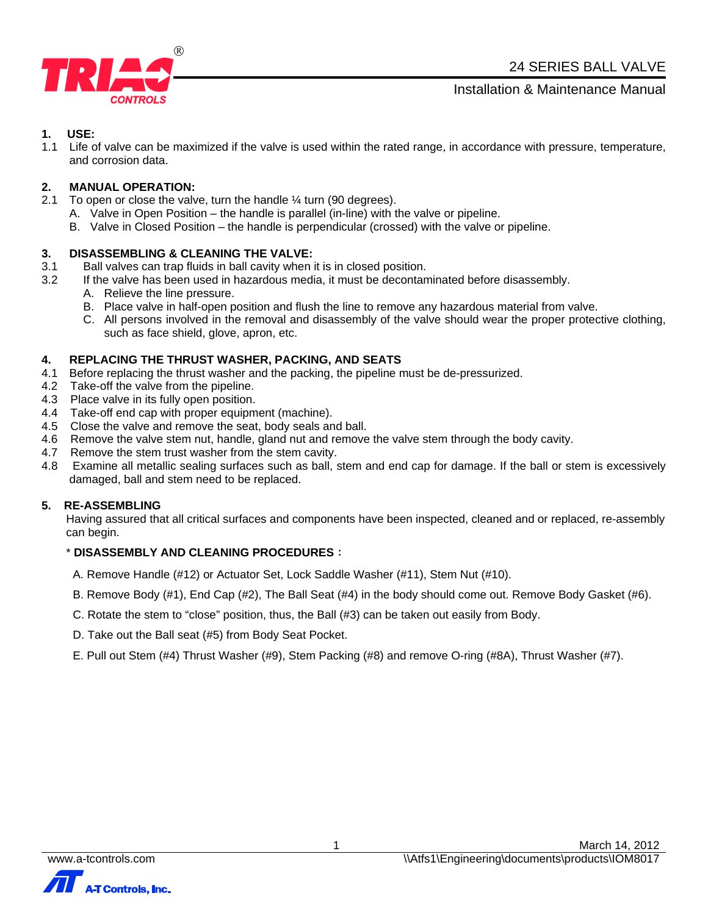

Installation & Maintenance Manual

# **1. USE:**

1.1 Life of valve can be maximized if the valve is used within the rated range, in accordance with pressure, temperature, and corrosion data.

# **2. MANUAL OPERATION:**

- 2.1 To open or close the valve, turn the handle  $\frac{1}{4}$  turn (90 degrees).
	- A. Valve in Open Position the handle is parallel (in-line) with the valve or pipeline.
		- B. Valve in Closed Position the handle is perpendicular (crossed) with the valve or pipeline.

#### **3. DISASSEMBLING & CLEANING THE VALVE:**

- 3.1 Ball valves can trap fluids in ball cavity when it is in closed position.
- 3.2 If the valve has been used in hazardous media, it must be decontaminated before disassembly.
	- A. Relieve the line pressure.
	- B. Place valve in half-open position and flush the line to remove any hazardous material from valve.
	- C. All persons involved in the removal and disassembly of the valve should wear the proper protective clothing, such as face shield, glove, apron, etc.

#### **4. REPLACING THE THRUST WASHER, PACKING, AND SEATS**

- 4.1 Before replacing the thrust washer and the packing, the pipeline must be de-pressurized.
- 4.2 Take-off the valve from the pipeline.
- 4.3 Place valve in its fully open position.
- 4.4 Take-off end cap with proper equipment (machine).
- 4.5 Close the valve and remove the seat, body seals and ball.
- 4.6 Remove the valve stem nut, handle, gland nut and remove the valve stem through the body cavity.
- 4.7 Remove the stem trust washer from the stem cavity.
- 4.8 Examine all metallic sealing surfaces such as ball, stem and end cap for damage. If the ball or stem is excessively damaged, ball and stem need to be replaced.

#### **5. RE-ASSEMBLING**

Having assured that all critical surfaces and components have been inspected, cleaned and or replaced, re-assembly can begin.

### \* **DISASSEMBLY AND CLEANING PROCEDURES**:

- A. Remove Handle (#12) or Actuator Set, Lock Saddle Washer (#11), Stem Nut (#10).
- B. Remove Body (#1), End Cap (#2), The Ball Seat (#4) in the body should come out. Remove Body Gasket (#6).
- C. Rotate the stem to "close" position, thus, the Ball (#3) can be taken out easily from Body.
- D. Take out the Ball seat (#5) from Body Seat Pocket.
- E. Pull out Stem (#4) Thrust Washer (#9), Stem Packing (#8) and remove O-ring (#8A), Thrust Washer (#7).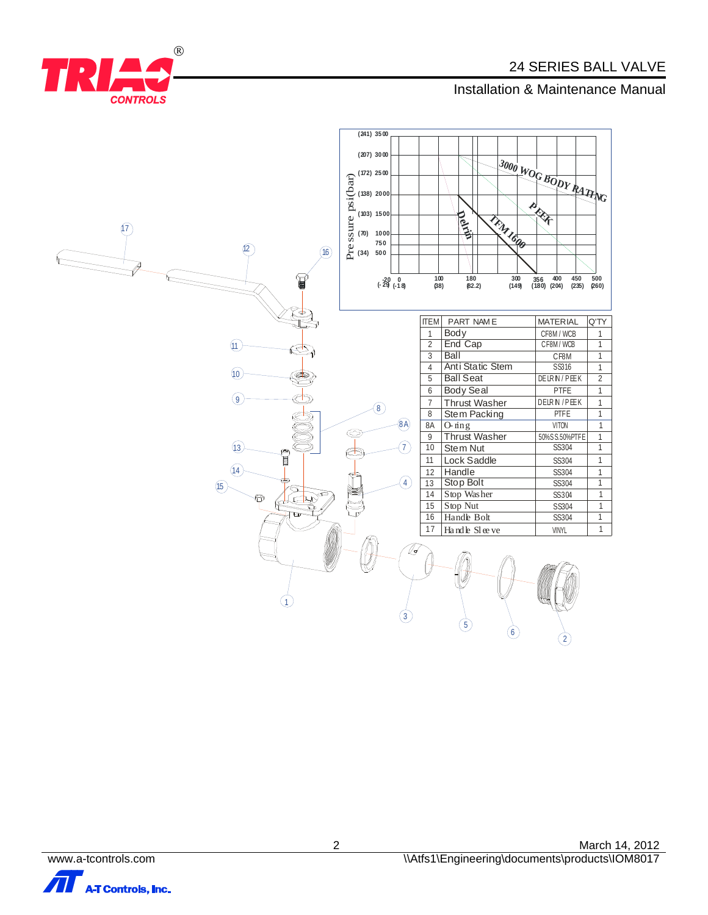# **INSTERNATION CONTROLS**<br> **CONTROLS**



 $\mathbb{R}$